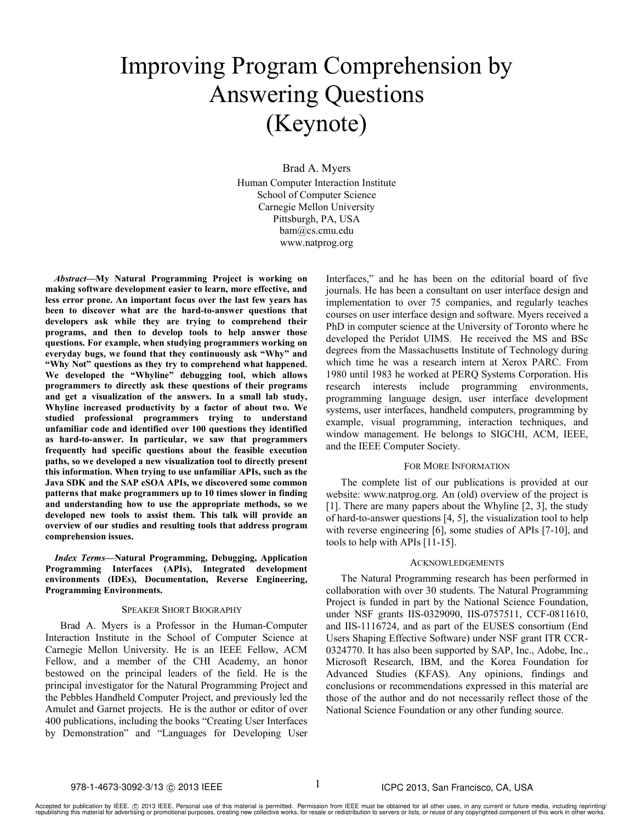# Improving Program Comprehension by Answering Questions (Keynote)

Brad A. Myers Human Computer Interaction Institute School of Computer Science Carnegie Mellon University Pittsburgh, PA, USA bam@cs.cmu.edu www.natprog.org

*Abstract***—My Natural Programming Project is working on making software development easier to learn, more effective, and less error prone. An important focus over the last few years has been to discover what are the hard-to-answer questions that developers ask while they are trying to comprehend their programs, and then to develop tools to help answer those questions. For example, when studying programmers working on everyday bugs, we found that they continuously ask "Why" and "Why Not" questions as they try to comprehend what happened. We developed the "Whyline" debugging tool, which allows programmers to directly ask these questions of their programs and get a visualization of the answers. In a small lab study, Whyline increased productivity by a factor of about two. We studied professional programmers trying to understand unfamiliar code and identified over 100 questions they identified as hard-to-answer. In particular, we saw that programmers frequently had specific questions about the feasible execution paths, so we developed a new visualization tool to directly present this information. When trying to use unfamiliar APIs, such as the Java SDK and the SAP eSOA APIs, we discovered some common patterns that make programmers up to 10 times slower in finding and understanding how to use the appropriate methods, so we developed new tools to assist them. This talk will provide an overview of our studies and resulting tools that address program comprehension issues.**

*Index Terms***—Natural Programming, Debugging, Application Programming Interfaces (APIs), Integrated development environments (IDEs), Documentation, Reverse Engineering, Programming Environments.**

### SPEAKER SHORT BIOGRAPHY

Brad A. Myers is a Professor in the Human-Computer Interaction Institute in the School of Computer Science at Carnegie Mellon University. He is an IEEE Fellow, ACM Fellow, and a member of the CHI Academy, an honor bestowed on the principal leaders of the field. He is the principal investigator for the Natural Programming Project and the Pebbles Handheld Computer Project, and previously led the Amulet and Garnet projects. He is the author or editor of over 400 publications, including the books "Creating User Interfaces by Demonstration" and "Languages for Developing User Interfaces," and he has been on the editorial board of five journals. He has been a consultant on user interface design and implementation to over 75 companies, and regularly teaches courses on user interface design and software. Myers received a PhD in computer science at the University of Toronto where he developed the Peridot UIMS. He received the MS and BSc degrees from the Massachusetts Institute of Technology during which time he was a research intern at Xerox PARC. From 1980 until 1983 he worked at PERQ Systems Corporation. His research interests include programming environments, programming language design, user interface development systems, user interfaces, handheld computers, programming by example, visual programming, interaction techniques, and window management. He belongs to SIGCHI, ACM, IEEE, and the IEEE Computer Society.

## FOR MORE INFORMATION

The complete list of our publications is provided at our website: www.natprog.org. An (old) overview of the project is [1]. There are many papers about the Whyline [2, 3], the study of hard-to-answer questions [4, 5], the visualization tool to help with reverse engineering [6], some studies of APIs [7-10], and tools to help with APIs [11-15].

#### ACKNOWLEDGEMENTS

The Natural Programming research has been performed in collaboration with over 30 students. The Natural Programming Project is funded in part by the National Science Foundation, under NSF grants IIS-0329090, IIS-0757511, CCF-0811610, and IIS-1116724, and as part of the EUSES consortium (End Users Shaping Effective Software) under NSF grant ITR CCR-0324770. It has also been supported by SAP, Inc., Adobe, Inc., Microsoft Research, IBM, and the Korea Foundation for Advanced Studies (KFAS). Any opinions, findings and conclusions or recommendations expressed in this material are those of the author and do not necessarily reflect those of the National Science Foundation or any other funding source.

1

# 978-1-4673-3092-3/13 © 2013 IEEE **Intervention CIT Alexander 1** CPC 2013, San Francisco, CA, USA

Accepted for publication by IEEE. ⓒ 2013 IEEE. Personal use of this material is permitted. Permission from IEEE must be obtained for all other uses, in any current or future media, including reprinting/<br>republishing this m